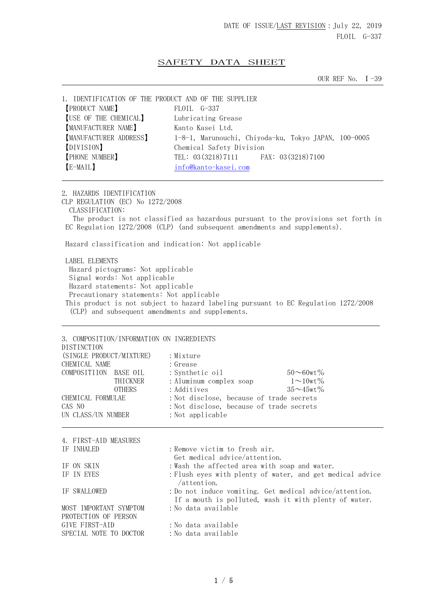## SAFETY DATA SHEET

OUR REF No. I-39

| 1. IDENTIFICATION OF THE PRODUCT AND OF THE SUPPLIER |                                                      |
|------------------------------------------------------|------------------------------------------------------|
| <b>[PRODUCT NAME]</b>                                | FLOIL G-337                                          |
| [USE OF THE CHEMICAL]                                | Lubricating Grease                                   |
| <b>MANUFACTURER NAME</b>                             | Kanto Kasei Ltd.                                     |
| [MANUFACTURER ADDRESS]                               | 1-8-1, Marunouchi, Chiyoda-ku, Tokyo JAPAN, 100-0005 |
| [DIVISION]                                           | Chemical Safety Division                             |
| <b>[PHONE NUMBER]</b>                                | TEL: 03 (3218) 7111 FAX: 03 (3218) 7100              |
| [E-MAIL]                                             | info@kanto-kasei.com                                 |
|                                                      |                                                      |

2. HAZARDS IDENTIFICATION

CLP REGULATION (EC) No 1272/2008 CLASSIFICATION: The product is not classified as hazardous pursuant to the provisions set forth in EC Regulation 1272/2008 (CLP) (and subsequent amendments and supplements).

Hazard classification and indication: Not applicable

 LABEL ELEMENTS Hazard pictograms: Not applicable Signal words: Not applicable Hazard statements: Not applicable Precautionary statements: Not applicable This product is not subject to hazard labeling pursuant to EC Regulation 1272/2008 (CLP) and subsequent amendments and supplements.

| 3. COMPOSITION/INFORMATION ON INGREDIENTS<br><b>DISTINCTION</b><br>(SINGLE PRODUCT/MIXTURE)<br>CHEMICAL NAME<br>COMPOSITIION BASE OIL<br>THICKNER<br><b>OTHERS</b><br>CHEMICAL FORMULAE | : Mixture<br>: Grease<br>$50 \sim 60$ wt%<br>: Synthetic oil<br>$1\!\sim\!10$ wt $\%$<br>: Aluminum complex soap<br>$35 \sim 45$ wt $\%$<br>: Additives<br>: Not disclose, because of trade secrets |
|-----------------------------------------------------------------------------------------------------------------------------------------------------------------------------------------|-----------------------------------------------------------------------------------------------------------------------------------------------------------------------------------------------------|
|                                                                                                                                                                                         |                                                                                                                                                                                                     |
| CAS NO<br>UN CLASS/UN NUMBER                                                                                                                                                            | : Not disclose, because of trade secrets<br>: Not applicable                                                                                                                                        |
| 4. FIRST-AID MEASURES<br>IF INHALED                                                                                                                                                     | : Remove victim to fresh air.                                                                                                                                                                       |
|                                                                                                                                                                                         | Get medical advice/attention.                                                                                                                                                                       |
| IF ON SKIN                                                                                                                                                                              | : Wash the affected area with soap and water.                                                                                                                                                       |
| IF IN EYES                                                                                                                                                                              | : Flush eyes with plenty of water, and get medical advice<br>$/$ attention.                                                                                                                         |
| IF SWALLOWED                                                                                                                                                                            | : Do not induce vomiting. Get medical advice/attention.<br>If a mouth is polluted, wash it with plenty of water.                                                                                    |
| MOST IMPORTANT SYMPTOM<br>PROTECTION OF PERSON                                                                                                                                          | : No data available                                                                                                                                                                                 |
| GIVE FIRST-AID                                                                                                                                                                          | : No data available                                                                                                                                                                                 |
| SPECIAL NOTE TO DOCTOR                                                                                                                                                                  | :No data available                                                                                                                                                                                  |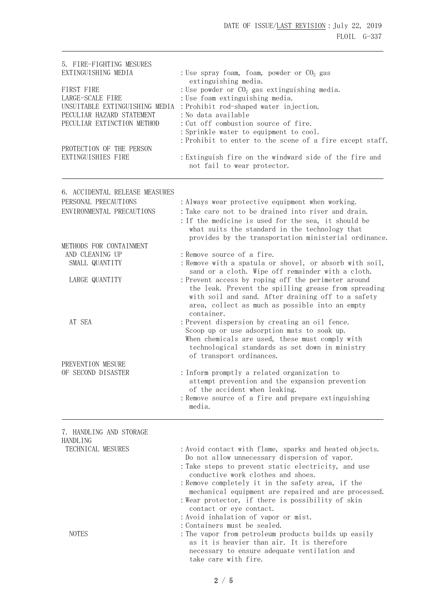| 5. FIRE-FIGHTING MESURES<br>EXTINGUISHING MEDIA                                                                                                                               | : Use spray foam, foam, powder or $CO2$ gas                                                                                                                                                                                                                                                                                                                                                                                                                               |
|-------------------------------------------------------------------------------------------------------------------------------------------------------------------------------|---------------------------------------------------------------------------------------------------------------------------------------------------------------------------------------------------------------------------------------------------------------------------------------------------------------------------------------------------------------------------------------------------------------------------------------------------------------------------|
| FIRST FIRE<br>LARGE-SCALE FIRE<br>UNSUITABLE EXTINGUISHING MEDIA<br>PECULIAR HAZARD STATEMENT<br>PECULIAR EXTINCTION METHOD<br>PROTECTION OF THE PERSON<br>EXTINGUISHIES FIRE | extinguishing media.<br>: Use powder or $CO2$ gas extinguishing media.<br>: Use foam extinguishing media.<br>: Prohibit rod-shaped water injection.<br>: No data available<br>: Cut off combustion source of fire.<br>: Sprinkle water to equipment to cool.<br>: Prohibit to enter to the scene of a fire except staff.<br>: Extinguish fire on the windward side of the fire and<br>not fail to wear protector.                                                         |
| 6. ACCIDENTAL RELEASE MEASURES                                                                                                                                                |                                                                                                                                                                                                                                                                                                                                                                                                                                                                           |
| PERSONAL PRECAUTIONS<br>ENVIRONMENTAL PRECAUTIONS                                                                                                                             | : Always wear protective equipment when working.<br>: Take care not to be drained into river and drain.<br>: If the medicine is used for the sea, it should be<br>what suits the standard in the technology that<br>provides by the transportation ministerial ordinance.                                                                                                                                                                                                 |
| METHODS FOR CONTAINMENT<br>AND CLEANING UP<br>SMALL QUANTITY                                                                                                                  | : Remove source of a fire.<br>: Remove with a spatula or shovel, or absorb with soil,                                                                                                                                                                                                                                                                                                                                                                                     |
| LARGE QUANTITY                                                                                                                                                                | sand or a cloth. Wipe off remainder with a cloth.<br>: Prevent access by roping off the perimeter around<br>the leak. Prevent the spilling grease from spreading<br>with soil and sand. After draining off to a safety<br>area, collect as much as possible into an empty<br>container.                                                                                                                                                                                   |
| AT SEA                                                                                                                                                                        | : Prevent dispersion by creating an oil fence.<br>Scoop up or use adsorption mats to soak up.<br>When chemicals are used, these must comply with<br>technological standards as set down in ministry                                                                                                                                                                                                                                                                       |
| PREVENTION MESURE                                                                                                                                                             | of transport ordinances.                                                                                                                                                                                                                                                                                                                                                                                                                                                  |
| OF SECOND DISASTER                                                                                                                                                            | : Inform promptly a related organization to<br>attempt prevention and the expansion prevention<br>of the accident when leaking.<br>: Remove source of a fire and prepare extinguishing<br>media.                                                                                                                                                                                                                                                                          |
| 7. HANDLING AND STORAGE                                                                                                                                                       |                                                                                                                                                                                                                                                                                                                                                                                                                                                                           |
| <b>HANDLING</b><br>TECHNICAL MESURES                                                                                                                                          | : Avoid contact with flame, sparks and heated objects.<br>Do not allow unnecessary dispersion of vapor.<br>: Take steps to prevent static electricity, and use<br>conductive work clothes and shoes.<br>: Remove completely it in the safety area, if the<br>mechanical equipment are repaired and are processed.<br>: Wear protector, if there is possibility of skin<br>contact or eye contact.<br>: Avoid inhalation of vapor or mist.<br>: Containers must be sealed. |
| <b>NOTES</b>                                                                                                                                                                  | : The vapor from petroleum products builds up easily<br>as it is heavier than air. It is therefore<br>necessary to ensure adequate ventilation and                                                                                                                                                                                                                                                                                                                        |

take care with fire.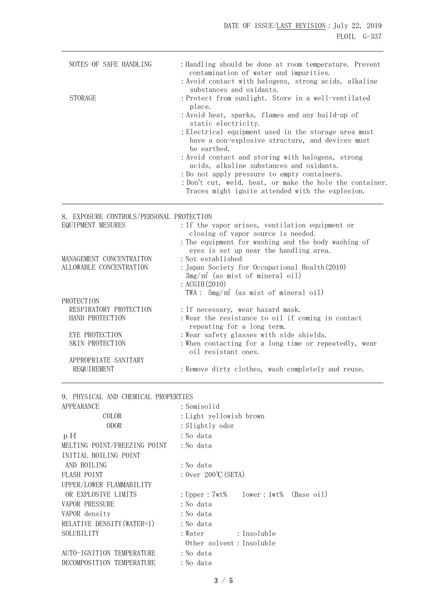| NOTES OF SAFE HANDLING | : Handling should be done at room temperature. Prevent<br>contamination of water and impurities.                        |
|------------------------|-------------------------------------------------------------------------------------------------------------------------|
|                        | : Avoid contact with halogens, strong acids, alkaline<br>substances and oxidants.                                       |
| <b>STORAGE</b>         | : Protect from sunlight. Store in a well-ventilated<br>place.                                                           |
|                        | : Avoid heat, sparks, flames and any build-up of<br>static electricity.                                                 |
|                        | : Electrical equipment used in the storage area must<br>have a non-explosive structure, and devices must<br>be earthed. |
|                        | : Avoid contact and storing with halogens, strong<br>acids, alkaline substances and oxidants.                           |
|                        | : Do not apply pressure to empty containers.                                                                            |
|                        | : Don't cut, weld, heat, or make the hole the container.                                                                |
|                        | Traces might ignite attended with the explosion.                                                                        |

# 8. EXPOSURE CONTROLS/PERSONAL PROTECTION

| EQUIPMENT MESURES        | : If the vapor arises, ventilation equipment or<br>closing of vapor source is needed.         |
|--------------------------|-----------------------------------------------------------------------------------------------|
|                          | : The equipment for washing and the body washing of<br>eyes is set up near the handling area. |
| MANAGEMENT CONCENTRAITON | : Not established                                                                             |
| ALLOWABLE CONCENTRATION  | : Japan Society for Occupational Health(2010)                                                 |
|                          | $3mg/m^3$ (as mist of mineral oil)                                                            |
|                          | : $ACGIH(2010)$                                                                               |
|                          | TWA: $5mg/m^3$ (as mist of mineral oil)                                                       |
| PROTECTION               |                                                                                               |
| RESPIRATORY PROTECTION   | : If necessary, wear hazard mask.                                                             |
| HAND PROTECTION          | : Wear the resistance to oil if coming in contact<br>repeating for a long term.               |
| EYE PROTECTION           | : Wear safety glasses with side shields.                                                      |
| SKIN PROTECTION          | : When contacting for a long time or repeatedly, wear<br>oil resistant ones.                  |
| APPROPRIATE SANITARY     |                                                                                               |
| REQUIREMENT              | : Remove dirty clothes, wash completely and reuse.                                            |

| 9. PHYSICAL AND CHEMICAL PROPERTIES |                                            |
|-------------------------------------|--------------------------------------------|
| APPEARANCE                          | : Semisolid                                |
| COLOR                               | :Light yellowish brown                     |
| <b>ODOR</b>                         | : Slightly odor                            |
| pH                                  | :No data                                   |
| MELTING POINT/FREEZING POINT        | : No data                                  |
| INITIAL BOILING POINT               |                                            |
| AND BOILING                         | :No data                                   |
| FLASH POINT                         | : Over $200^{\circ}$ C (SETA)              |
| UPPER/LOWER FLAMMABILITY            |                                            |
| OR EXPLOSIVE LIMITS                 | : Upper : $7wt\$ lower : $1wt\$ (Base oil) |
| <b>VAPOR PRESSURE</b>               | : No data                                  |
| VAPOR density                       | : No data                                  |
| RELATIVE DENSITY (WATER=1)          | : No data                                  |
| SOLUBILITY                          | : Insoluble<br>: Water                     |
|                                     | Other solvent: Insoluble                   |
| AUTO-IGNITION TEMPERATURE           | :No data                                   |
| DECOMPOSITION TEMPERATURE           | : No data                                  |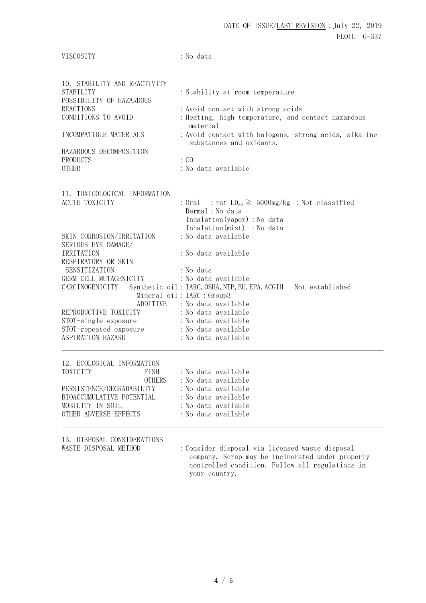| VISCOSITY                                                                                                                                                                                                                                                       | : No data                                                                                                                                                                                                                                                                                     |
|-----------------------------------------------------------------------------------------------------------------------------------------------------------------------------------------------------------------------------------------------------------------|-----------------------------------------------------------------------------------------------------------------------------------------------------------------------------------------------------------------------------------------------------------------------------------------------|
| 10. STABILITY AND REACTIVITY<br>STABILITY<br>POSSIBILITY OF HAZARDOUS<br><b>REACTIONS</b><br>CONDITIONS TO AVOID<br>INCOMPATIBLE MATERIALS<br>HAZARDOUS DECOMPOSITION<br>PRODUCTS<br><b>OTHER</b>                                                               | : Stability at room temperature<br>: Avoid contact with strong acids<br>: Heating, high temperature, and contact hazardous<br>material<br>: Avoid contact with halogens, strong acids, alkaline<br>substances and oxidants.<br>$\colon$ CO<br>:No data available                              |
| 11. TOXICOLOGICAL INFORMATION<br>ACUTE TOXICITY                                                                                                                                                                                                                 | : Oral : rat $LD_{50} \ge 5000$ mg/kg : Not classified<br>Dermal : No data<br>Inhalation (vapor) : No data<br>Inhalation(mist) : No data                                                                                                                                                      |
| SKIN CORROSION/IRRITATION<br>SERIOUS EYE DAMAGE/<br>IRRITATION<br>RESPIRATORY OR SKIN<br>SENSITIZATION<br>GERM CELL MUTAGENICITY<br>CARCINOGENICITY<br>ADDITIVE<br>REPRODUCTIVE TOXICITY<br>STOT-single exposure<br>STOT-repeated exposure<br>ASPIRATION HAZARD | :No data available<br>: No data available<br>: No data<br>: No data available<br>Synthetic oil: IARC, OSHA, NTP, EU, EPA, ACGIH Not established<br>Mineral oil: IARC : Group3<br>:No data available<br>: No data available<br>:No data available<br>: No data available<br>:No data available |
| 12. ECOLOGICAL INFORMATION<br>TOXICITY<br>FISH<br><b>OTHERS</b><br>PERSISTENCE/DEGRADABILITY<br>BIOACCUMULATIVE POTENTIAL<br>MOBILITY IN SOIL<br>OTHER ADVERSE EFFECTS                                                                                          | :No data available<br>:No data available<br>:No data available<br>:No data available<br>: No data available<br>:No data available                                                                                                                                                             |

13. DISPOSAL CONSIDERATIONS

WASTE DISPOSAL METHOD : Consider disposal via licensed waste disposal company. Scrap may be incinerated under properly controlled condition. Follow all regulations in your country.